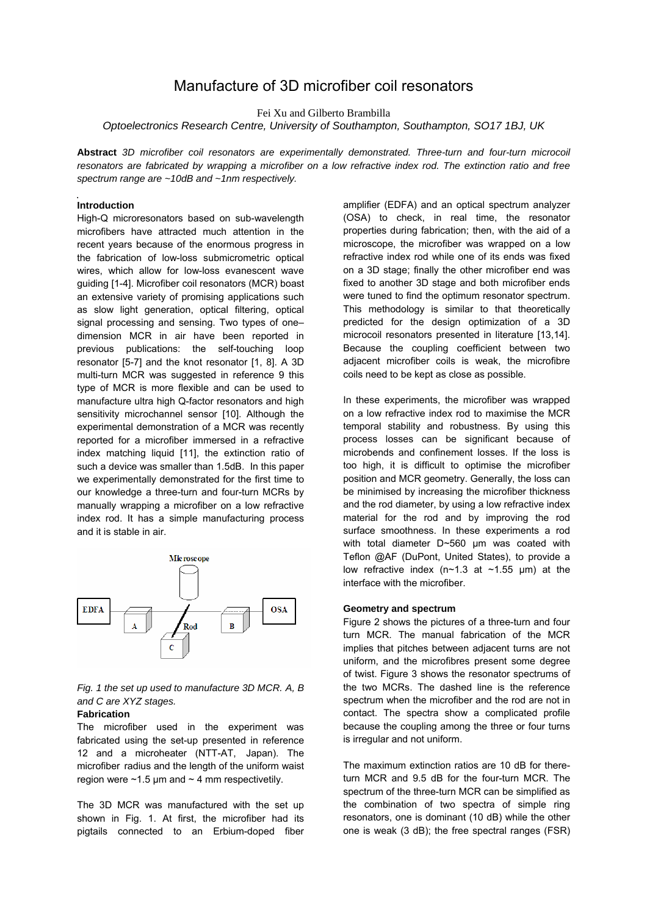# Manufacture of 3D microfiber coil resonators

Fei Xu and Gilberto Brambilla

*Optoelectronics Research Centre, University of Southampton, Southampton, SO17 1BJ, UK* 

**Abstract** *3D microfiber coil resonators are experimentally demonstrated. Three-turn and four-turn microcoil resonators are fabricated by wrapping a microfiber on a low refractive index rod. The extinction ratio and free spectrum range are ~10dB and ~1nm respectively.* 

### **Introduction**

High-Q microresonators based on sub-wavelength microfibers have attracted much attention in the recent years because of the enormous progress in the fabrication of low-loss submicrometric optical wires, which allow for low-loss evanescent wave guiding [1-4]. Microfiber coil resonators (MCR) boast an extensive variety of promising applications such as slow light generation, optical filtering, optical signal processing and sensing. Two types of one– dimension MCR in air have been reported in previous publications: the self-touching loop resonator [5-7] and the knot resonator [1, 8]. A 3D multi-turn MCR was suggested in reference 9 this type of MCR is more flexible and can be used to manufacture ultra high Q-factor resonators and high sensitivity microchannel sensor [10]. Although the experimental demonstration of a MCR was recently reported for a microfiber immersed in a refractive index matching liquid [11], the extinction ratio of such a device was smaller than 1.5dB. In this paper we experimentally demonstrated for the first time to our knowledge a three-turn and four-turn MCRs by manually wrapping a microfiber on a low refractive index rod. It has a simple manufacturing process and it is stable in air.



*Fig. 1 the set up used to manufacture 3D MCR. A, B and C are XYZ stages.* 

# **Fabrication**

The microfiber used in the experiment was fabricated using the set-up presented in reference 12 and a microheater (NTT-AT, Japan). The microfiber radius and the length of the uniform waist region were  $\sim$ 1.5 µm and  $\sim$  4 mm respectivetily.

The 3D MCR was manufactured with the set up shown in Fig. 1. At first, the microfiber had its pigtails connected to an Erbium-doped fiber amplifier (EDFA) and an optical spectrum analyzer (OSA) to check, in real time, the resonator properties during fabrication; then, with the aid of a microscope, the microfiber was wrapped on a low refractive index rod while one of its ends was fixed on a 3D stage; finally the other microfiber end was fixed to another 3D stage and both microfiber ends were tuned to find the optimum resonator spectrum. This methodology is similar to that theoretically predicted for the design optimization of a 3D microcoil resonators presented in literature [13,14]. Because the coupling coefficient between two adjacent microfiber coils is weak, the microfibre coils need to be kept as close as possible.

In these experiments, the microfiber was wrapped on a low refractive index rod to maximise the MCR temporal stability and robustness. By using this process losses can be significant because of microbends and confinement losses. If the loss is too high, it is difficult to optimise the microfiber position and MCR geometry. Generally, the loss can be minimised by increasing the microfiber thickness and the rod diameter, by using a low refractive index material for the rod and by improving the rod surface smoothness. In these experiments a rod with total diameter D~560 μm was coated with Teflon @AF (DuPont, United States), to provide a low refractive index (n~1.3 at ~1.55  $\mu$ m) at the interface with the microfiber.

#### **Geometry and spectrum**

Figure 2 shows the pictures of a three-turn and four turn MCR. The manual fabrication of the MCR implies that pitches between adjacent turns are not uniform, and the microfibres present some degree of twist. Figure 3 shows the resonator spectrums of the two MCRs. The dashed line is the reference spectrum when the microfiber and the rod are not in contact. The spectra show a complicated profile because the coupling among the three or four turns is irregular and not uniform.

The maximum extinction ratios are 10 dB for thereturn MCR and 9.5 dB for the four-turn MCR. The spectrum of the three-turn MCR can be simplified as the combination of two spectra of simple ring resonators, one is dominant (10 dB) while the other one is weak (3 dB); the free spectral ranges (FSR)